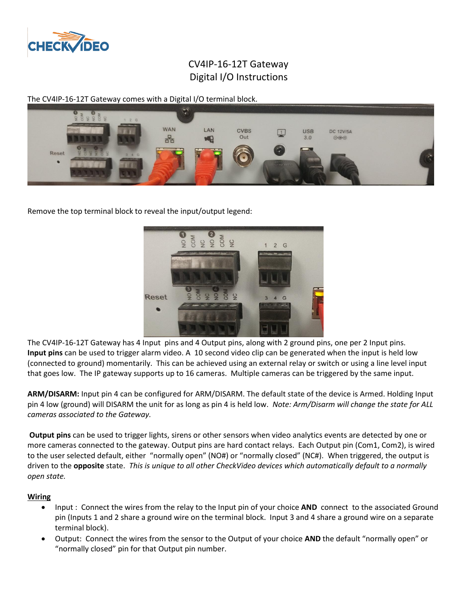

## CV4IP-16-12T Gateway Digital I/O Instructions

The CV4IP-16-12T Gateway comes with a Digital I/O terminal block.



Remove the top terminal block to reveal the input/output legend:



The CV4IP-16-12T Gateway has 4 Input pins and 4 Output pins, along with 2 ground pins, one per 2 Input pins. **Input pins** can be used to trigger alarm video. A 10 second video clip can be generated when the input is held low (connected to ground) momentarily. This can be achieved using an external relay or switch or using a line level input that goes low. The IP gateway supports up to 16 cameras. Multiple cameras can be triggered by the same input.

**ARM/DISARM:** Input pin 4 can be configured for ARM/DISARM. The default state of the device is Armed. Holding Input pin 4 low (ground) will DISARM the unit for as long as pin 4 is held low. *Note: Arm/Disarm will change the state for ALL cameras associated to the Gateway.*

**Output pins** can be used to trigger lights, sirens or other sensors when video analytics events are detected by one or more cameras connected to the gateway. Output pins are hard contact relays. Each Output pin (Com1, Com2), is wired to the user selected default, either "normally open" (NO#) or "normally closed" (NC#). When triggered, the output is driven to the **opposite** state. *This is unique to all other CheckVideo devices which automatically default to a normally open state.*

## **Wiring**

- Input : Connect the wires from the relay to the Input pin of your choice **AND** connect to the associated Ground pin (Inputs 1 and 2 share a ground wire on the terminal block. Input 3 and 4 share a ground wire on a separate terminal block).
- Output: Connect the wires from the sensor to the Output of your choice **AND** the default "normally open" or "normally closed" pin for that Output pin number.